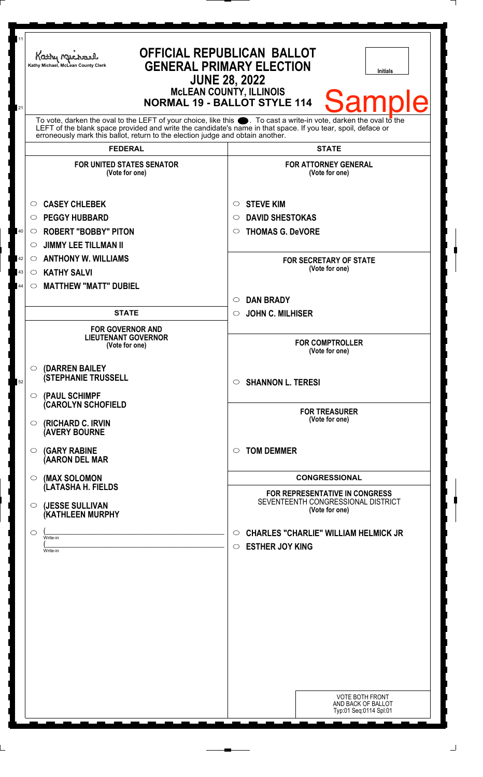| 11<br>21                                                                                                                                                                                                                                                                                                           | <b>OFFICIAL REPUBLICAN BALLOT</b><br>Kathy Michael<br><b>GENERAL PRIMARY ELECTION</b><br>Kathy Michael, McLean County Clerk<br><b>Initials</b><br><b>JUNE 28, 2022</b><br><b>McLEAN COUNTY, ILLINOIS</b><br><b>Sample</b><br><b>NORMAL 19 - BALLOT STYLE 114</b> |                                                                                             |
|--------------------------------------------------------------------------------------------------------------------------------------------------------------------------------------------------------------------------------------------------------------------------------------------------------------------|------------------------------------------------------------------------------------------------------------------------------------------------------------------------------------------------------------------------------------------------------------------|---------------------------------------------------------------------------------------------|
| To vote, darken the oval to the LEFT of your choice, like this . To cast a write-in vote, darken the oval to the<br>LEFT of the blank space provided and write the candidate's name in that space. If you tear, spoil, deface or<br>erroneously mark this ballot, return to the election judge and obtain another. |                                                                                                                                                                                                                                                                  |                                                                                             |
|                                                                                                                                                                                                                                                                                                                    | <b>FEDERAL</b>                                                                                                                                                                                                                                                   | <b>STATE</b>                                                                                |
|                                                                                                                                                                                                                                                                                                                    | <b>FOR UNITED STATES SENATOR</b><br>(Vote for one)                                                                                                                                                                                                               | <b>FOR ATTORNEY GENERAL</b><br>(Vote for one)                                               |
|                                                                                                                                                                                                                                                                                                                    | <b>CASEY CHLEBEK</b><br>$\circ$                                                                                                                                                                                                                                  | <b>STEVE KIM</b><br>$\circ$                                                                 |
|                                                                                                                                                                                                                                                                                                                    | <b>PEGGY HUBBARD</b><br>$\circ$                                                                                                                                                                                                                                  | <b>DAVID SHESTOKAS</b><br>$\circ$                                                           |
| 40                                                                                                                                                                                                                                                                                                                 | <b>ROBERT "BOBBY" PITON</b><br>$\circ$                                                                                                                                                                                                                           | <b>THOMAS G. DeVORE</b><br>$\circ$                                                          |
|                                                                                                                                                                                                                                                                                                                    | <b>JIMMY LEE TILLMAN II</b><br>$\circ$                                                                                                                                                                                                                           |                                                                                             |
| 42                                                                                                                                                                                                                                                                                                                 | <b>ANTHONY W. WILLIAMS</b><br>$\circ$                                                                                                                                                                                                                            | <b>FOR SECRETARY OF STATE</b>                                                               |
| 43                                                                                                                                                                                                                                                                                                                 | <b>KATHY SALVI</b><br>$\circ$                                                                                                                                                                                                                                    | (Vote for one)                                                                              |
| 44                                                                                                                                                                                                                                                                                                                 | <b>MATTHEW "MATT" DUBIEL</b><br>$\circ$                                                                                                                                                                                                                          |                                                                                             |
|                                                                                                                                                                                                                                                                                                                    |                                                                                                                                                                                                                                                                  | <b>DAN BRADY</b><br>$\circ$                                                                 |
|                                                                                                                                                                                                                                                                                                                    | <b>STATE</b>                                                                                                                                                                                                                                                     | <b>JOHN C. MILHISER</b><br>$\circ$                                                          |
|                                                                                                                                                                                                                                                                                                                    | <b>FOR GOVERNOR AND</b>                                                                                                                                                                                                                                          |                                                                                             |
|                                                                                                                                                                                                                                                                                                                    | <b>LIEUTENANT GOVERNOR</b><br>(Vote for one)                                                                                                                                                                                                                     | <b>FOR COMPTROLLER</b><br>(Vote for one)                                                    |
| 52                                                                                                                                                                                                                                                                                                                 | (DARREN BAILEY<br>$\circ$<br><b>(STEPHANIE TRUSSELL</b><br>(PAUL SCHIMPF<br>$\circ$                                                                                                                                                                              | <b>SHANNON L. TERESI</b><br>$\circ$                                                         |
|                                                                                                                                                                                                                                                                                                                    | (CAROLYN SCHOFIELD<br>(RICHARD C. IRVIN<br>$\circ$<br><b>(AVERY BOURNE</b>                                                                                                                                                                                       | <b>FOR TREASURER</b><br>(Vote for one)                                                      |
|                                                                                                                                                                                                                                                                                                                    | <b>(GARY RABINE</b><br>◯<br>(AARON DEL MAR                                                                                                                                                                                                                       | <b>TOM DEMMER</b><br>$\circ$                                                                |
|                                                                                                                                                                                                                                                                                                                    | (MAX SOLOMON<br>$\circ$<br>(LATASHA H. FIELDS                                                                                                                                                                                                                    | <b>CONGRESSIONAL</b><br>FOR REPRESENTATIVE IN CONGRESS                                      |
|                                                                                                                                                                                                                                                                                                                    | (JESSE SULLIVAN<br>$\circ$<br>(KATHLEEN MURPHY                                                                                                                                                                                                                   | SEVENTEENTH CONGRESSIONAL DISTRICT<br>(Vote for one)                                        |
|                                                                                                                                                                                                                                                                                                                    | $\circ$<br>Write-in<br>Write-in                                                                                                                                                                                                                                  | <b>CHARLES "CHARLIE" WILLIAM HELMICK JR</b><br>$\circ$<br><b>ESTHER JOY KING</b><br>$\circ$ |
|                                                                                                                                                                                                                                                                                                                    |                                                                                                                                                                                                                                                                  |                                                                                             |
|                                                                                                                                                                                                                                                                                                                    |                                                                                                                                                                                                                                                                  |                                                                                             |
|                                                                                                                                                                                                                                                                                                                    |                                                                                                                                                                                                                                                                  |                                                                                             |
|                                                                                                                                                                                                                                                                                                                    |                                                                                                                                                                                                                                                                  |                                                                                             |
|                                                                                                                                                                                                                                                                                                                    |                                                                                                                                                                                                                                                                  | <b>VOTE BOTH FRONT</b><br>AND BACK OF BALLOT<br>Typ:01 Seq:0114 Spl:01                      |